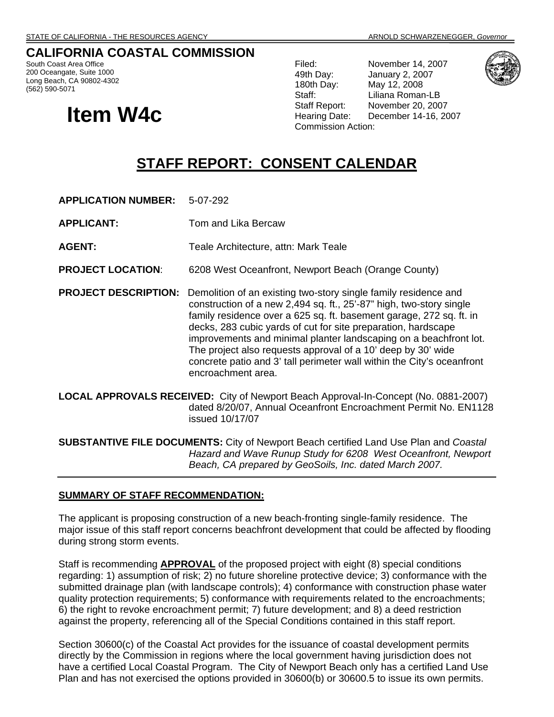## **CALIFORNIA COASTAL COMMISSION**

South Coast Area Office 200 Oceangate, Suite 1000 Long Beach, CA 90802-4302 (562) 590-5071

# **Item W4c**

Filed: November 14, 2007 49th Day: January 2, 2007 180th Day: May 12, 2008 Staff: Liliana Roman-LB Staff Report: November 20, 2007 Hearing Date: December 14-16, 2007 Commission Action:



## **STAFF REPORT: CONSENT CALENDAR**

**APPLICATION NUMBER:** 5-07-292

**APPLICANT:** Tom and Lika Bercaw

**AGENT:** Teale Architecture, attn: Mark Teale

**PROJECT LOCATION**: 6208 West Oceanfront, Newport Beach (Orange County)

- **PROJECT DESCRIPTION:** Demolition of an existing two-story single family residence and construction of a new 2,494 sq. ft., 25'-87" high, two-story single family residence over a 625 sq. ft. basement garage, 272 sq. ft. in decks, 283 cubic yards of cut for site preparation, hardscape improvements and minimal planter landscaping on a beachfront lot. The project also requests approval of a 10' deep by 30' wide concrete patio and 3' tall perimeter wall within the City's oceanfront encroachment area.
- **LOCAL APPROVALS RECEIVED:** City of Newport Beach Approval-In-Concept (No. 0881-2007) dated 8/20/07, Annual Oceanfront Encroachment Permit No. EN1128 issued 10/17/07
- **SUBSTANTIVE FILE DOCUMENTS:** City of Newport Beach certified Land Use Plan and *Coastal Hazard and Wave Runup Study for 6208 West Oceanfront, Newport Beach, CA prepared by GeoSoils, Inc. dated March 2007.*

#### **SUMMARY OF STAFF RECOMMENDATION:**

The applicant is proposing construction of a new beach-fronting single-family residence. The major issue of this staff report concerns beachfront development that could be affected by flooding during strong storm events.

Staff is recommending **APPROVAL** of the proposed project with eight (8) special conditions regarding: 1) assumption of risk; 2) no future shoreline protective device; 3) conformance with the submitted drainage plan (with landscape controls); 4) conformance with construction phase water quality protection requirements; 5) conformance with requirements related to the encroachments; 6) the right to revoke encroachment permit; 7) future development; and 8) a deed restriction against the property, referencing all of the Special Conditions contained in this staff report.

Section 30600(c) of the Coastal Act provides for the issuance of coastal development permits directly by the Commission in regions where the local government having jurisdiction does not have a certified Local Coastal Program. The City of Newport Beach only has a certified Land Use Plan and has not exercised the options provided in 30600(b) or 30600.5 to issue its own permits.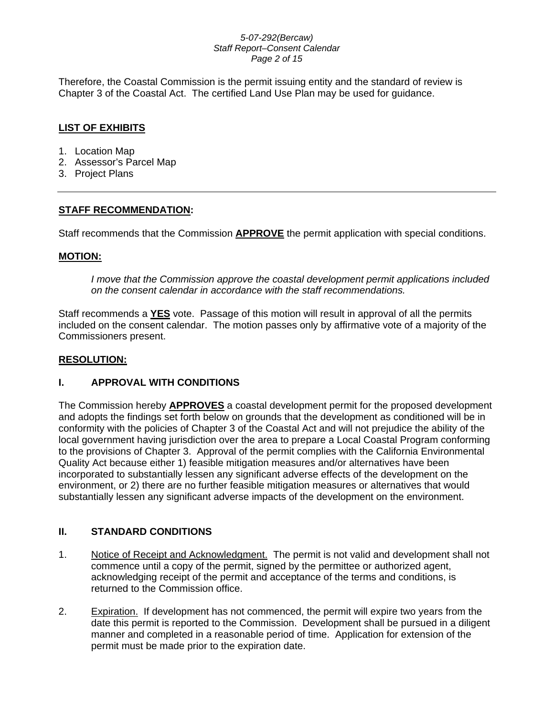## *5-07-292(Bercaw) Staff Report–Consent Calendar Page 2 of 15*

Therefore, the Coastal Commission is the permit issuing entity and the standard of review is Chapter 3 of the Coastal Act. The certified Land Use Plan may be used for guidance.

## **LIST OF EXHIBITS**

- 1. Location Map
- 2. Assessor's Parcel Map
- 3. Project Plans

## **STAFF RECOMMENDATION:**

Staff recommends that the Commission **APPROVE** the permit application with special conditions.

## **MOTION:**

*I move that the Commission approve the coastal development permit applications included on the consent calendar in accordance with the staff recommendations.*

Staff recommends a **YES** vote. Passage of this motion will result in approval of all the permits included on the consent calendar. The motion passes only by affirmative vote of a majority of the Commissioners present.

## **RESOLUTION:**

## **I. APPROVAL WITH CONDITIONS**

The Commission hereby **APPROVES** a coastal development permit for the proposed development and adopts the findings set forth below on grounds that the development as conditioned will be in conformity with the policies of Chapter 3 of the Coastal Act and will not prejudice the ability of the local government having jurisdiction over the area to prepare a Local Coastal Program conforming to the provisions of Chapter 3. Approval of the permit complies with the California Environmental Quality Act because either 1) feasible mitigation measures and/or alternatives have been incorporated to substantially lessen any significant adverse effects of the development on the environment, or 2) there are no further feasible mitigation measures or alternatives that would substantially lessen any significant adverse impacts of the development on the environment.

## **II. STANDARD CONDITIONS**

- 1. Notice of Receipt and Acknowledgment. The permit is not valid and development shall not commence until a copy of the permit, signed by the permittee or authorized agent, acknowledging receipt of the permit and acceptance of the terms and conditions, is returned to the Commission office.
- 2. Expiration. If development has not commenced, the permit will expire two years from the date this permit is reported to the Commission. Development shall be pursued in a diligent manner and completed in a reasonable period of time. Application for extension of the permit must be made prior to the expiration date.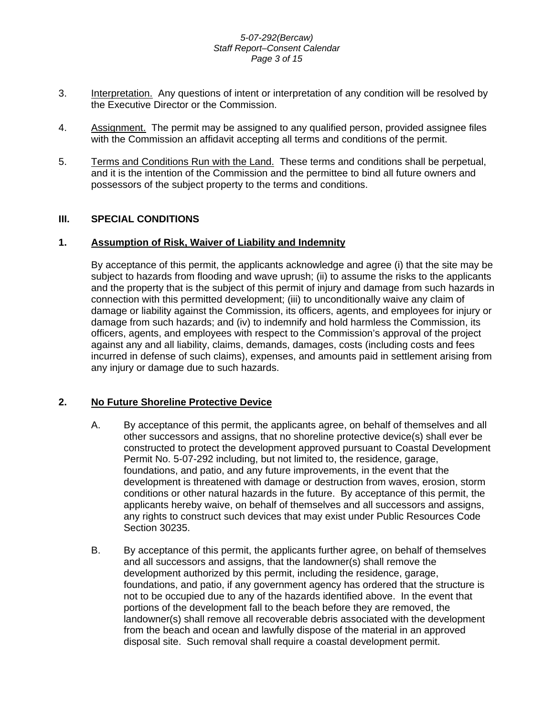### *5-07-292(Bercaw) Staff Report–Consent Calendar Page 3 of 15*

- 3. Interpretation. Any questions of intent or interpretation of any condition will be resolved by the Executive Director or the Commission.
- 4. Assignment. The permit may be assigned to any qualified person, provided assignee files with the Commission an affidavit accepting all terms and conditions of the permit.
- 5. Terms and Conditions Run with the Land. These terms and conditions shall be perpetual, and it is the intention of the Commission and the permittee to bind all future owners and possessors of the subject property to the terms and conditions.

## **III. SPECIAL CONDITIONS**

## **1. Assumption of Risk, Waiver of Liability and Indemnity**

By acceptance of this permit, the applicants acknowledge and agree (i) that the site may be subject to hazards from flooding and wave uprush; (ii) to assume the risks to the applicants and the property that is the subject of this permit of injury and damage from such hazards in connection with this permitted development; (iii) to unconditionally waive any claim of damage or liability against the Commission, its officers, agents, and employees for injury or damage from such hazards; and (iv) to indemnify and hold harmless the Commission, its officers, agents, and employees with respect to the Commission's approval of the project against any and all liability, claims, demands, damages, costs (including costs and fees incurred in defense of such claims), expenses, and amounts paid in settlement arising from any injury or damage due to such hazards.

## **2. No Future Shoreline Protective Device**

- A. By acceptance of this permit, the applicants agree, on behalf of themselves and all other successors and assigns, that no shoreline protective device(s) shall ever be constructed to protect the development approved pursuant to Coastal Development Permit No. 5-07-292 including, but not limited to, the residence, garage, foundations, and patio, and any future improvements, in the event that the development is threatened with damage or destruction from waves, erosion, storm conditions or other natural hazards in the future. By acceptance of this permit, the applicants hereby waive, on behalf of themselves and all successors and assigns, any rights to construct such devices that may exist under Public Resources Code Section 30235.
- B. By acceptance of this permit, the applicants further agree, on behalf of themselves and all successors and assigns, that the landowner(s) shall remove the development authorized by this permit, including the residence, garage, foundations, and patio, if any government agency has ordered that the structure is not to be occupied due to any of the hazards identified above. In the event that portions of the development fall to the beach before they are removed, the landowner(s) shall remove all recoverable debris associated with the development from the beach and ocean and lawfully dispose of the material in an approved disposal site. Such removal shall require a coastal development permit.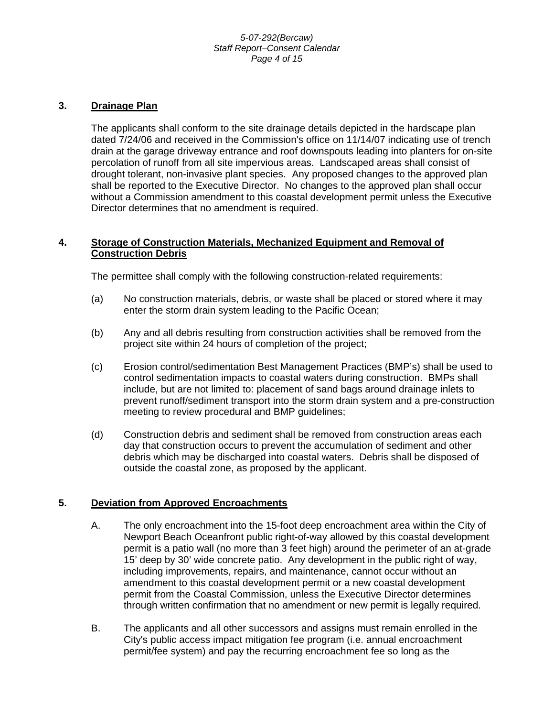#### *5-07-292(Bercaw) Staff Report–Consent Calendar Page 4 of 15*

## **3. Drainage Plan**

The applicants shall conform to the site drainage details depicted in the hardscape plan dated 7/24/06 and received in the Commission's office on 11/14/07 indicating use of trench drain at the garage driveway entrance and roof downspouts leading into planters for on-site percolation of runoff from all site impervious areas. Landscaped areas shall consist of drought tolerant, non-invasive plant species. Any proposed changes to the approved plan shall be reported to the Executive Director. No changes to the approved plan shall occur without a Commission amendment to this coastal development permit unless the Executive Director determines that no amendment is required.

## **4. Storage of Construction Materials, Mechanized Equipment and Removal of Construction Debris**

The permittee shall comply with the following construction-related requirements:

- (a) No construction materials, debris, or waste shall be placed or stored where it may enter the storm drain system leading to the Pacific Ocean;
- (b) Any and all debris resulting from construction activities shall be removed from the project site within 24 hours of completion of the project;
- (c) Erosion control/sedimentation Best Management Practices (BMP's) shall be used to control sedimentation impacts to coastal waters during construction. BMPs shall include, but are not limited to: placement of sand bags around drainage inlets to prevent runoff/sediment transport into the storm drain system and a pre-construction meeting to review procedural and BMP guidelines;
- (d) Construction debris and sediment shall be removed from construction areas each day that construction occurs to prevent the accumulation of sediment and other debris which may be discharged into coastal waters. Debris shall be disposed of outside the coastal zone, as proposed by the applicant.

## **5. Deviation from Approved Encroachments**

- A. The only encroachment into the 15-foot deep encroachment area within the City of Newport Beach Oceanfront public right-of-way allowed by this coastal development permit is a patio wall (no more than 3 feet high) around the perimeter of an at-grade 15' deep by 30' wide concrete patio. Any development in the public right of way, including improvements, repairs, and maintenance, cannot occur without an amendment to this coastal development permit or a new coastal development permit from the Coastal Commission, unless the Executive Director determines through written confirmation that no amendment or new permit is legally required.
- B. The applicants and all other successors and assigns must remain enrolled in the City's public access impact mitigation fee program (i.e. annual encroachment permit/fee system) and pay the recurring encroachment fee so long as the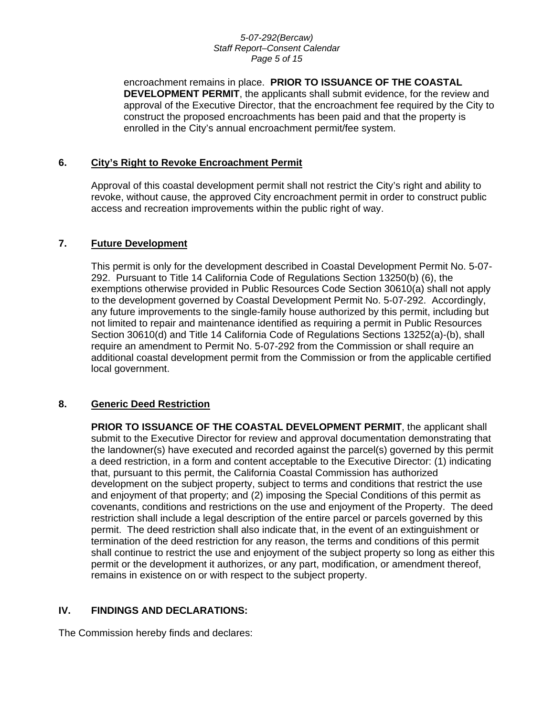#### *5-07-292(Bercaw) Staff Report–Consent Calendar Page 5 of 15*

encroachment remains in place. **PRIOR TO ISSUANCE OF THE COASTAL DEVELOPMENT PERMIT**, the applicants shall submit evidence, for the review and approval of the Executive Director, that the encroachment fee required by the City to construct the proposed encroachments has been paid and that the property is enrolled in the City's annual encroachment permit/fee system.

## **6. City's Right to Revoke Encroachment Permit**

Approval of this coastal development permit shall not restrict the City's right and ability to revoke, without cause, the approved City encroachment permit in order to construct public access and recreation improvements within the public right of way.

## **7. Future Development**

This permit is only for the development described in Coastal Development Permit No. 5-07- 292. Pursuant to Title 14 California Code of Regulations Section 13250(b) (6), the exemptions otherwise provided in Public Resources Code Section 30610(a) shall not apply to the development governed by Coastal Development Permit No. 5-07-292. Accordingly, any future improvements to the single-family house authorized by this permit, including but not limited to repair and maintenance identified as requiring a permit in Public Resources Section 30610(d) and Title 14 California Code of Regulations Sections 13252(a)-(b), shall require an amendment to Permit No. 5-07-292 from the Commission or shall require an additional coastal development permit from the Commission or from the applicable certified local government.

## **8. Generic Deed Restriction**

**PRIOR TO ISSUANCE OF THE COASTAL DEVELOPMENT PERMIT**, the applicant shall submit to the Executive Director for review and approval documentation demonstrating that the landowner(s) have executed and recorded against the parcel(s) governed by this permit a deed restriction, in a form and content acceptable to the Executive Director: (1) indicating that, pursuant to this permit, the California Coastal Commission has authorized development on the subject property, subject to terms and conditions that restrict the use and enjoyment of that property; and (2) imposing the Special Conditions of this permit as covenants, conditions and restrictions on the use and enjoyment of the Property. The deed restriction shall include a legal description of the entire parcel or parcels governed by this permit. The deed restriction shall also indicate that, in the event of an extinguishment or termination of the deed restriction for any reason, the terms and conditions of this permit shall continue to restrict the use and enjoyment of the subject property so long as either this permit or the development it authorizes, or any part, modification, or amendment thereof, remains in existence on or with respect to the subject property.

## **IV. FINDINGS AND DECLARATIONS:**

The Commission hereby finds and declares: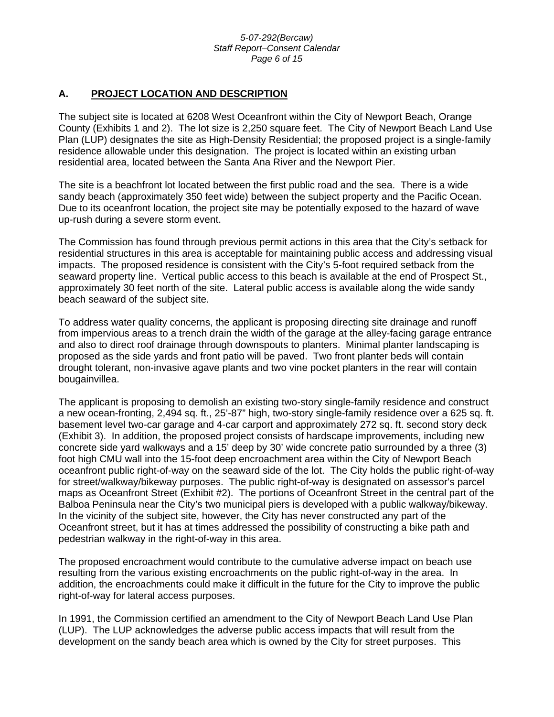#### *5-07-292(Bercaw) Staff Report–Consent Calendar Page 6 of 15*

## **A. PROJECT LOCATION AND DESCRIPTION**

The subject site is located at 6208 West Oceanfront within the City of Newport Beach, Orange County (Exhibits 1 and 2). The lot size is 2,250 square feet. The City of Newport Beach Land Use Plan (LUP) designates the site as High-Density Residential; the proposed project is a single-family residence allowable under this designation. The project is located within an existing urban residential area, located between the Santa Ana River and the Newport Pier.

The site is a beachfront lot located between the first public road and the sea. There is a wide sandy beach (approximately 350 feet wide) between the subject property and the Pacific Ocean. Due to its oceanfront location, the project site may be potentially exposed to the hazard of wave up-rush during a severe storm event.

The Commission has found through previous permit actions in this area that the City's setback for residential structures in this area is acceptable for maintaining public access and addressing visual impacts. The proposed residence is consistent with the City's 5-foot required setback from the seaward property line. Vertical public access to this beach is available at the end of Prospect St., approximately 30 feet north of the site. Lateral public access is available along the wide sandy beach seaward of the subject site.

To address water quality concerns, the applicant is proposing directing site drainage and runoff from impervious areas to a trench drain the width of the garage at the alley-facing garage entrance and also to direct roof drainage through downspouts to planters. Minimal planter landscaping is proposed as the side yards and front patio will be paved. Two front planter beds will contain drought tolerant, non-invasive agave plants and two vine pocket planters in the rear will contain bougainvillea.

The applicant is proposing to demolish an existing two-story single-family residence and construct a new ocean-fronting, 2,494 sq. ft., 25'-87" high, two-story single-family residence over a 625 sq. ft. basement level two-car garage and 4-car carport and approximately 272 sq. ft. second story deck (Exhibit 3). In addition, the proposed project consists of hardscape improvements, including new concrete side yard walkways and a 15' deep by 30' wide concrete patio surrounded by a three (3) foot high CMU wall into the 15-foot deep encroachment area within the City of Newport Beach oceanfront public right-of-way on the seaward side of the lot. The City holds the public right-of-way for street/walkway/bikeway purposes. The public right-of-way is designated on assessor's parcel maps as Oceanfront Street (Exhibit #2). The portions of Oceanfront Street in the central part of the Balboa Peninsula near the City's two municipal piers is developed with a public walkway/bikeway. In the vicinity of the subject site, however, the City has never constructed any part of the Oceanfront street, but it has at times addressed the possibility of constructing a bike path and pedestrian walkway in the right-of-way in this area.

The proposed encroachment would contribute to the cumulative adverse impact on beach use resulting from the various existing encroachments on the public right-of-way in the area. In addition, the encroachments could make it difficult in the future for the City to improve the public right-of-way for lateral access purposes.

In 1991, the Commission certified an amendment to the City of Newport Beach Land Use Plan (LUP). The LUP acknowledges the adverse public access impacts that will result from the development on the sandy beach area which is owned by the City for street purposes. This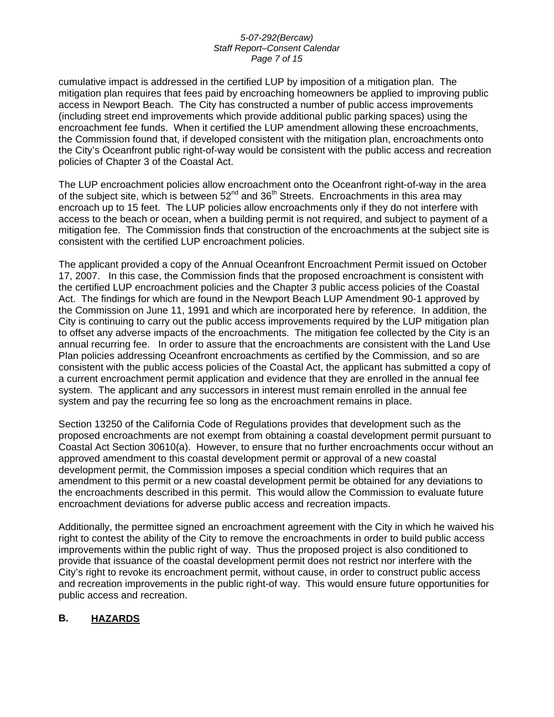#### *5-07-292(Bercaw) Staff Report–Consent Calendar Page 7 of 15*

cumulative impact is addressed in the certified LUP by imposition of a mitigation plan. The mitigation plan requires that fees paid by encroaching homeowners be applied to improving public access in Newport Beach. The City has constructed a number of public access improvements (including street end improvements which provide additional public parking spaces) using the encroachment fee funds. When it certified the LUP amendment allowing these encroachments, the Commission found that, if developed consistent with the mitigation plan, encroachments onto the City's Oceanfront public right-of-way would be consistent with the public access and recreation policies of Chapter 3 of the Coastal Act.

The LUP encroachment policies allow encroachment onto the Oceanfront right-of-way in the area of the subject site, which is between  $52^{nd}$  and  $36^{th}$  Streets. Encroachments in this area may encroach up to 15 feet. The LUP policies allow encroachments only if they do not interfere with access to the beach or ocean, when a building permit is not required, and subject to payment of a mitigation fee. The Commission finds that construction of the encroachments at the subject site is consistent with the certified LUP encroachment policies.

The applicant provided a copy of the Annual Oceanfront Encroachment Permit issued on October 17, 2007. In this case, the Commission finds that the proposed encroachment is consistent with the certified LUP encroachment policies and the Chapter 3 public access policies of the Coastal Act. The findings for which are found in the Newport Beach LUP Amendment 90-1 approved by the Commission on June 11, 1991 and which are incorporated here by reference. In addition, the City is continuing to carry out the public access improvements required by the LUP mitigation plan to offset any adverse impacts of the encroachments. The mitigation fee collected by the City is an annual recurring fee. In order to assure that the encroachments are consistent with the Land Use Plan policies addressing Oceanfront encroachments as certified by the Commission, and so are consistent with the public access policies of the Coastal Act, the applicant has submitted a copy of a current encroachment permit application and evidence that they are enrolled in the annual fee system. The applicant and any successors in interest must remain enrolled in the annual fee system and pay the recurring fee so long as the encroachment remains in place.

Section 13250 of the California Code of Regulations provides that development such as the proposed encroachments are not exempt from obtaining a coastal development permit pursuant to Coastal Act Section 30610(a). However, to ensure that no further encroachments occur without an approved amendment to this coastal development permit or approval of a new coastal development permit, the Commission imposes a special condition which requires that an amendment to this permit or a new coastal development permit be obtained for any deviations to the encroachments described in this permit. This would allow the Commission to evaluate future encroachment deviations for adverse public access and recreation impacts.

Additionally, the permittee signed an encroachment agreement with the City in which he waived his right to contest the ability of the City to remove the encroachments in order to build public access improvements within the public right of way. Thus the proposed project is also conditioned to provide that issuance of the coastal development permit does not restrict nor interfere with the City's right to revoke its encroachment permit, without cause, in order to construct public access and recreation improvements in the public right-of way. This would ensure future opportunities for public access and recreation.

## **B. HAZARDS**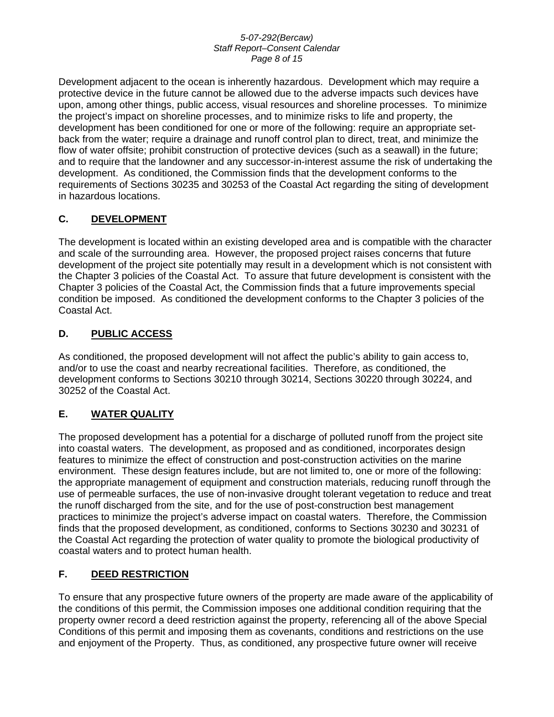### *5-07-292(Bercaw) Staff Report–Consent Calendar Page 8 of 15*

Development adjacent to the ocean is inherently hazardous. Development which may require a protective device in the future cannot be allowed due to the adverse impacts such devices have upon, among other things, public access, visual resources and shoreline processes. To minimize the project's impact on shoreline processes, and to minimize risks to life and property, the development has been conditioned for one or more of the following: require an appropriate setback from the water; require a drainage and runoff control plan to direct, treat, and minimize the flow of water offsite; prohibit construction of protective devices (such as a seawall) in the future; and to require that the landowner and any successor-in-interest assume the risk of undertaking the development. As conditioned, the Commission finds that the development conforms to the requirements of Sections 30235 and 30253 of the Coastal Act regarding the siting of development in hazardous locations.

## **C. DEVELOPMENT**

The development is located within an existing developed area and is compatible with the character and scale of the surrounding area. However, the proposed project raises concerns that future development of the project site potentially may result in a development which is not consistent with the Chapter 3 policies of the Coastal Act. To assure that future development is consistent with the Chapter 3 policies of the Coastal Act, the Commission finds that a future improvements special condition be imposed. As conditioned the development conforms to the Chapter 3 policies of the Coastal Act.

## **D. PUBLIC ACCESS**

As conditioned, the proposed development will not affect the public's ability to gain access to, and/or to use the coast and nearby recreational facilities. Therefore, as conditioned, the development conforms to Sections 30210 through 30214, Sections 30220 through 30224, and 30252 of the Coastal Act.

## **E. WATER QUALITY**

The proposed development has a potential for a discharge of polluted runoff from the project site into coastal waters. The development, as proposed and as conditioned, incorporates design features to minimize the effect of construction and post-construction activities on the marine environment. These design features include, but are not limited to, one or more of the following: the appropriate management of equipment and construction materials, reducing runoff through the use of permeable surfaces, the use of non-invasive drought tolerant vegetation to reduce and treat the runoff discharged from the site, and for the use of post-construction best management practices to minimize the project's adverse impact on coastal waters. Therefore, the Commission finds that the proposed development, as conditioned, conforms to Sections 30230 and 30231 of the Coastal Act regarding the protection of water quality to promote the biological productivity of coastal waters and to protect human health.

## **F. DEED RESTRICTION**

To ensure that any prospective future owners of the property are made aware of the applicability of the conditions of this permit, the Commission imposes one additional condition requiring that the property owner record a deed restriction against the property, referencing all of the above Special Conditions of this permit and imposing them as covenants, conditions and restrictions on the use and enjoyment of the Property. Thus, as conditioned, any prospective future owner will receive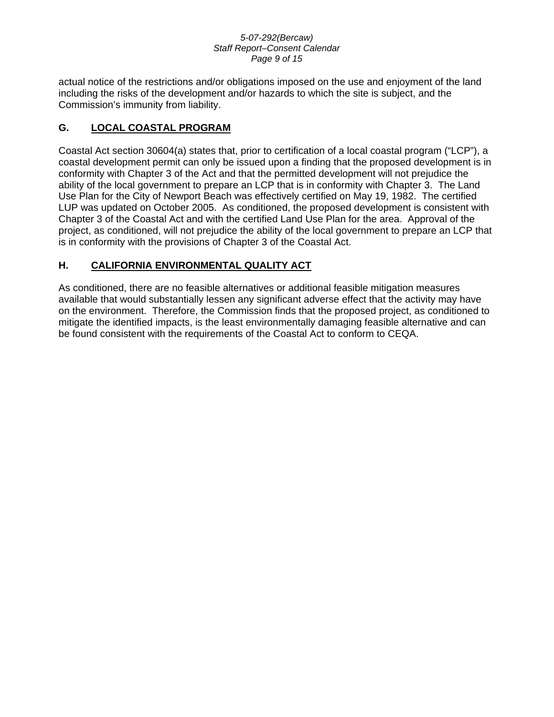#### *5-07-292(Bercaw) Staff Report–Consent Calendar Page 9 of 15*

actual notice of the restrictions and/or obligations imposed on the use and enjoyment of the land including the risks of the development and/or hazards to which the site is subject, and the Commission's immunity from liability.

## **G. LOCAL COASTAL PROGRAM**

Coastal Act section 30604(a) states that, prior to certification of a local coastal program ("LCP"), a coastal development permit can only be issued upon a finding that the proposed development is in conformity with Chapter 3 of the Act and that the permitted development will not prejudice the ability of the local government to prepare an LCP that is in conformity with Chapter 3. The Land Use Plan for the City of Newport Beach was effectively certified on May 19, 1982. The certified LUP was updated on October 2005. As conditioned, the proposed development is consistent with Chapter 3 of the Coastal Act and with the certified Land Use Plan for the area. Approval of the project, as conditioned, will not prejudice the ability of the local government to prepare an LCP that is in conformity with the provisions of Chapter 3 of the Coastal Act.

## **H. CALIFORNIA ENVIRONMENTAL QUALITY ACT**

As conditioned, there are no feasible alternatives or additional feasible mitigation measures available that would substantially lessen any significant adverse effect that the activity may have on the environment. Therefore, the Commission finds that the proposed project, as conditioned to mitigate the identified impacts, is the least environmentally damaging feasible alternative and can be found consistent with the requirements of the Coastal Act to conform to CEQA.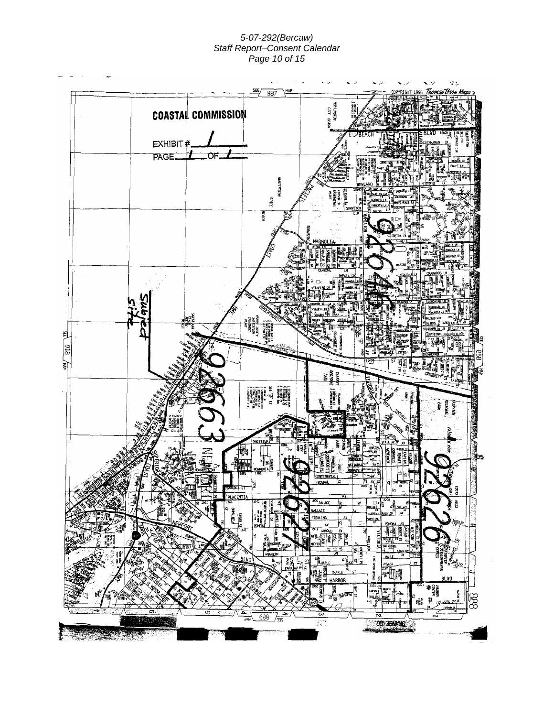## *5-07-292(Bercaw) Staff Report–Consent Calendar Page 10 of 15*

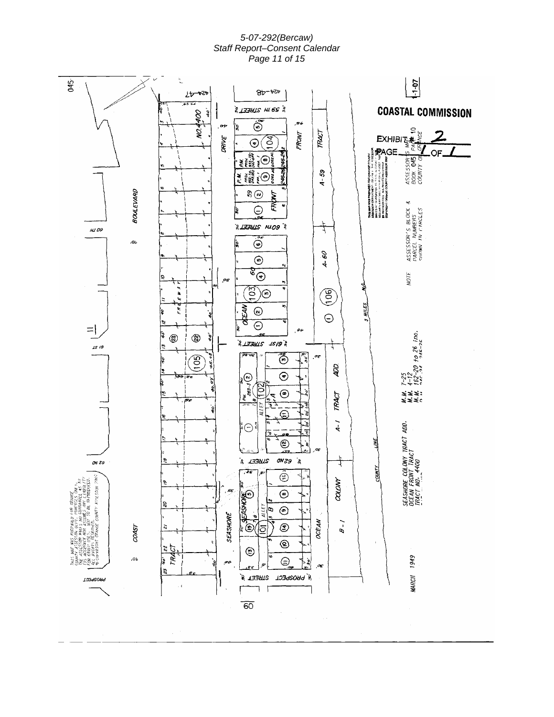#### *5-07-292(Bercaw) Staff Report–Consent Calendar Page 11 of 15*

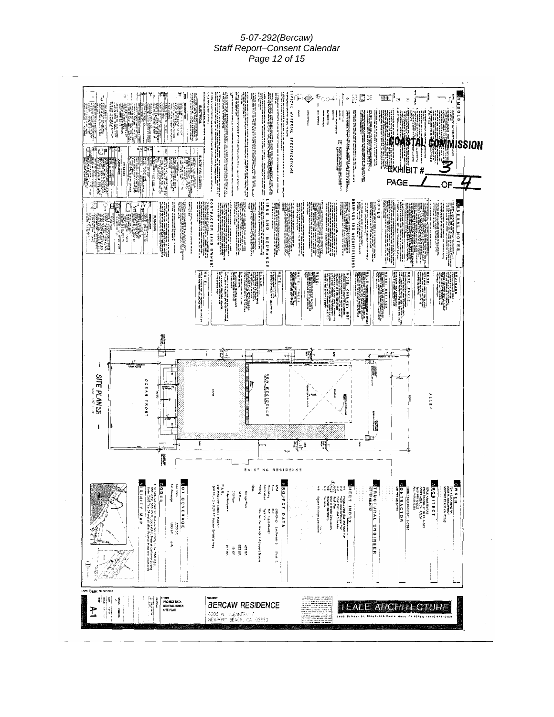#### *5-07-292(Bercaw) Staff Report–Consent Calendar Page 12 of 15*

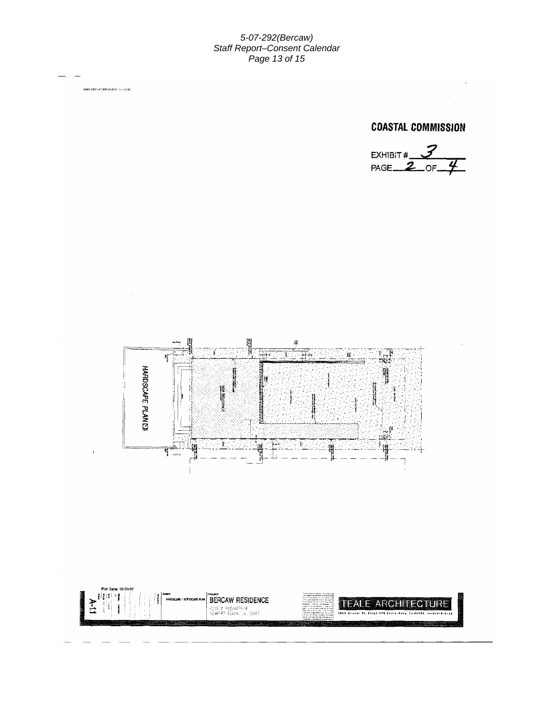#### *5-07-292(Bercaw) Staff Report–Consent Calendar Page 13 of 15*

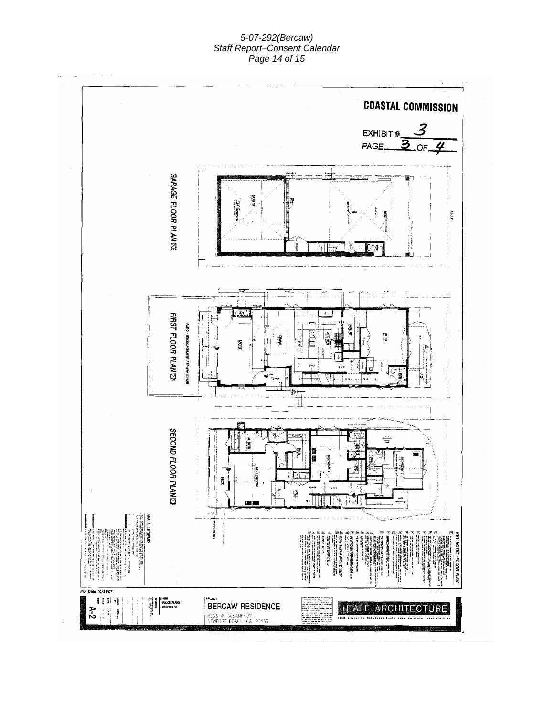## *5-07-292(Bercaw) Staff Report–Consent Calendar Page 14 of 15*